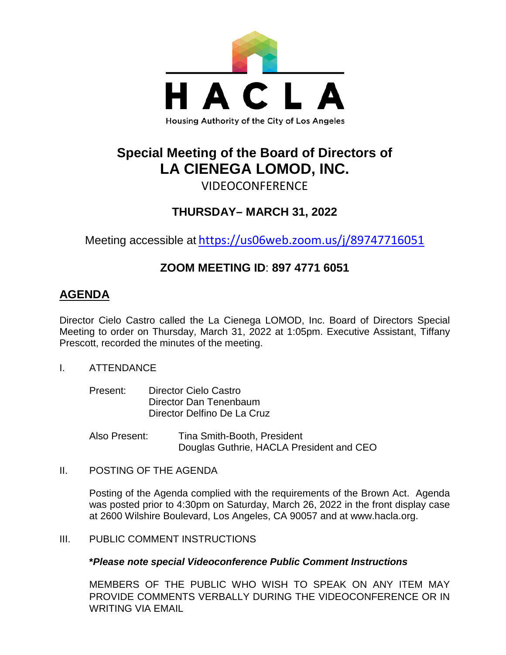

# **Special Meeting of the Board of Directors of LA CIENEGA LOMOD, INC.**

# VIDEOCONFERENCE

## **THURSDAY– MARCH 31, 2022**

Meeting accessible at <https://us06web.zoom.us/j/89747716051>

### **ZOOM MEETING ID**: **897 4771 6051**

### **AGENDA**

Director Cielo Castro called the La Cienega LOMOD, Inc. Board of Directors Special Meeting to order on Thursday, March 31, 2022 at 1:05pm. Executive Assistant, Tiffany Prescott, recorded the minutes of the meeting.

- I. ATTENDANCE
	- Present: Director Cielo Castro Director Dan Tenenbaum Director Delfino De La Cruz

Also Present: Tina Smith-Booth, President Douglas Guthrie, HACLA President and CEO

II. POSTING OF THE AGENDA

Posting of the Agenda complied with the requirements of the Brown Act. Agenda was posted prior to 4:30pm on Saturday, March 26, 2022 in the front display case at 2600 Wilshire Boulevard, Los Angeles, CA 90057 and at [www.hacla.org.](http://www.hacla.org/)

III. PUBLIC COMMENT INSTRUCTIONS

### **\****Please note special Videoconference Public Comment Instructions*

MEMBERS OF THE PUBLIC WHO WISH TO SPEAK ON ANY ITEM MAY PROVIDE COMMENTS VERBALLY DURING THE VIDEOCONFERENCE OR IN WRITING VIA EMAIL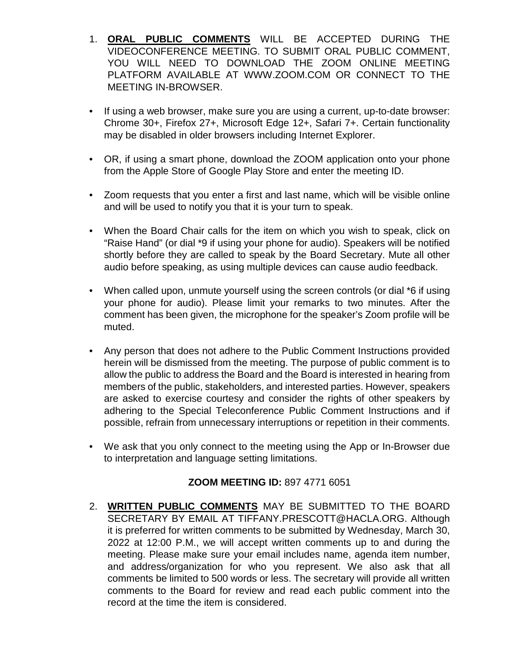- 1. **ORAL PUBLIC COMMENTS** WILL BE ACCEPTED DURING THE VIDEOCONFERENCE MEETING. TO SUBMIT ORAL PUBLIC COMMENT, YOU WILL NEED TO DOWNLOAD THE ZOOM ONLINE MEETING PLATFORM AVAILABLE AT WWW.ZOOM.COM OR CONNECT TO THE MEETING IN-BROWSER.
- If using a web browser, make sure you are using a current, up-to-date browser: Chrome 30+, Firefox 27+, Microsoft Edge 12+, Safari 7+. Certain functionality may be disabled in older browsers including Internet Explorer.
- OR, if using a smart phone, download the ZOOM application onto your phone from the Apple Store of Google Play Store and enter the meeting ID.
- Zoom requests that you enter a first and last name, which will be visible online and will be used to notify you that it is your turn to speak.
- When the Board Chair calls for the item on which you wish to speak, click on "Raise Hand" (or dial \*9 if using your phone for audio). Speakers will be notified shortly before they are called to speak by the Board Secretary. Mute all other audio before speaking, as using multiple devices can cause audio feedback.
- When called upon, unmute yourself using the screen controls (or dial \*6 if using your phone for audio). Please limit your remarks to two minutes. After the comment has been given, the microphone for the speaker's Zoom profile will be muted.
- Any person that does not adhere to the Public Comment Instructions provided herein will be dismissed from the meeting. The purpose of public comment is to allow the public to address the Board and the Board is interested in hearing from members of the public, stakeholders, and interested parties. However, speakers are asked to exercise courtesy and consider the rights of other speakers by adhering to the Special Teleconference Public Comment Instructions and if possible, refrain from unnecessary interruptions or repetition in their comments.
- We ask that you only connect to the meeting using the App or In-Browser due to interpretation and language setting limitations.

### **ZOOM MEETING ID:** 897 4771 6051

2. **WRITTEN PUBLIC COMMENTS** MAY BE SUBMITTED TO THE BOARD SECRETARY BY EMAIL AT TIFFANY.PRESCOTT@HACLA.ORG. Although it is preferred for written comments to be submitted by Wednesday, March 30, 2022 at 12:00 P.M., we will accept written comments up to and during the meeting. Please make sure your email includes name, agenda item number, and address/organization for who you represent. We also ask that all comments be limited to 500 words or less. The secretary will provide all written comments to the Board for review and read each public comment into the record at the time the item is considered.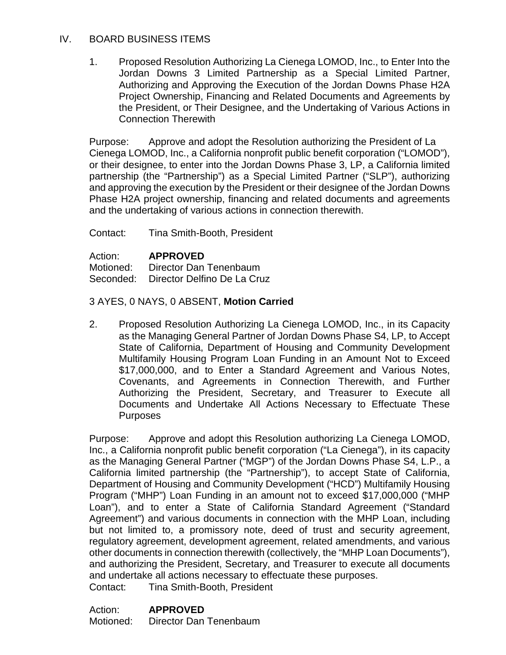#### IV. BOARD BUSINESS ITEMS

1. Proposed Resolution Authorizing La Cienega LOMOD, Inc., to Enter Into the Jordan Downs 3 Limited Partnership as a Special Limited Partner, Authorizing and Approving the Execution of the Jordan Downs Phase H2A Project Ownership, Financing and Related Documents and Agreements by the President, or Their Designee, and the Undertaking of Various Actions in Connection Therewith

Purpose: Approve and adopt the Resolution authorizing the President of La Cienega LOMOD, Inc., a California nonprofit public benefit corporation ("LOMOD"), or their designee, to enter into the Jordan Downs Phase 3, LP, a California limited partnership (the "Partnership") as a Special Limited Partner ("SLP"), authorizing and approving the execution by the President or their designee of the Jordan Downs Phase H2A project ownership, financing and related documents and agreements and the undertaking of various actions in connection therewith.

Contact: Tina Smith-Booth, President

Action: **APPROVED**

Motioned: Director Dan Tenenbaum Seconded: Director Delfino De La Cruz

#### 3 AYES, 0 NAYS, 0 ABSENT, **Motion Carried**

2. Proposed Resolution Authorizing La Cienega LOMOD, Inc., in its Capacity as the Managing General Partner of Jordan Downs Phase S4, LP, to Accept State of California, Department of Housing and Community Development Multifamily Housing Program Loan Funding in an Amount Not to Exceed \$17,000,000, and to Enter a Standard Agreement and Various Notes, Covenants, and Agreements in Connection Therewith, and Further Authorizing the President, Secretary, and Treasurer to Execute all Documents and Undertake All Actions Necessary to Effectuate These **Purposes** 

Purpose: Approve and adopt this Resolution authorizing La Cienega LOMOD, Inc., a California nonprofit public benefit corporation ("La Cienega"), in its capacity as the Managing General Partner ("MGP") of the Jordan Downs Phase S4, L.P., a California limited partnership (the "Partnership"), to accept State of California, Department of Housing and Community Development ("HCD") Multifamily Housing Program ("MHP") Loan Funding in an amount not to exceed \$17,000,000 ("MHP Loan"), and to enter a State of California Standard Agreement ("Standard Agreement") and various documents in connection with the MHP Loan, including but not limited to, a promissory note, deed of trust and security agreement, regulatory agreement, development agreement, related amendments, and various other documents in connection therewith (collectively, the "MHP Loan Documents"), and authorizing the President, Secretary, and Treasurer to execute all documents and undertake all actions necessary to effectuate these purposes. Contact: Tina Smith-Booth, President

Action: **APPROVED** Motioned: Director Dan Tenenbaum